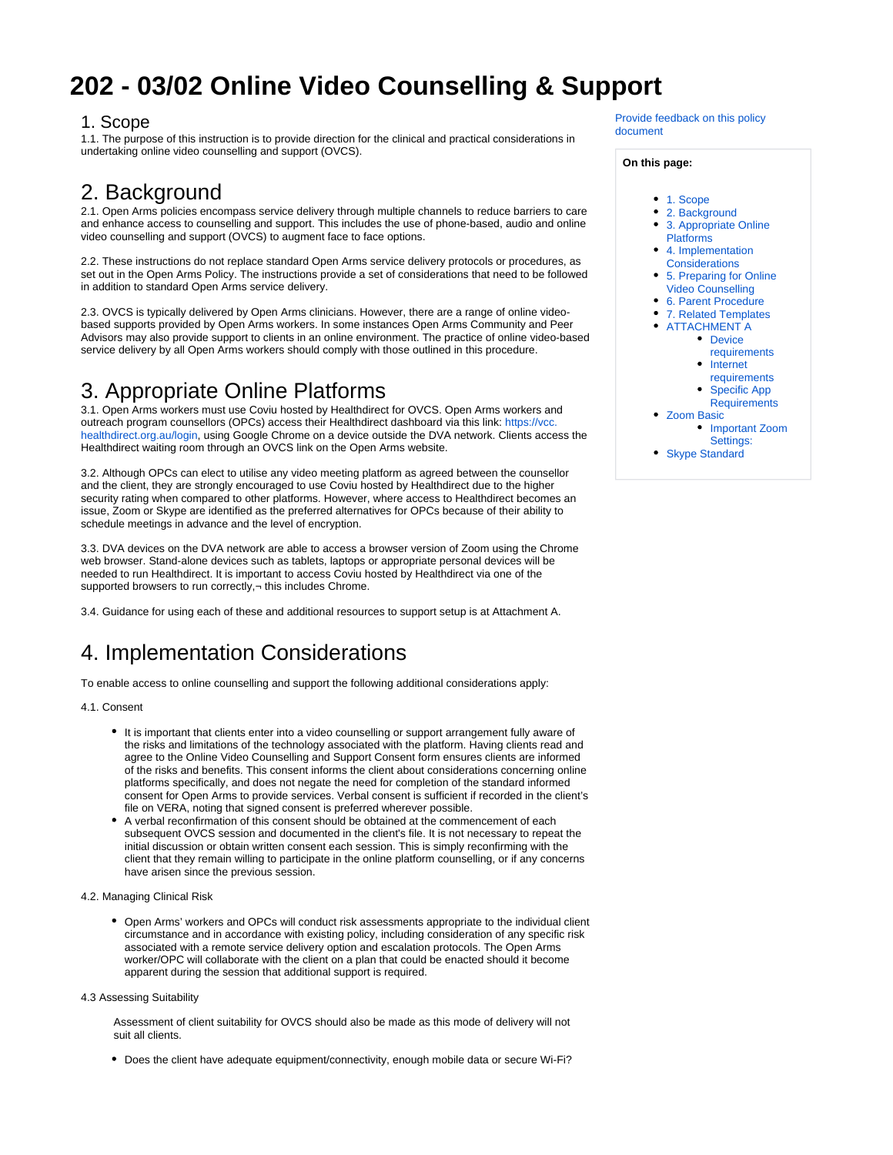# <span id="page-0-0"></span>**202 - 03/02 Online Video Counselling & Support**

### 1. Scope

1.1. The purpose of this instruction is to provide direction for the clinical and practical considerations in undertaking online video counselling and support (OVCS).

## <span id="page-0-1"></span>2. Background

2.1. Open Arms policies encompass service delivery through multiple channels to reduce barriers to care and enhance access to counselling and support. This includes the use of phone-based, audio and online video counselling and support (OVCS) to augment face to face options.

2.2. These instructions do not replace standard Open Arms service delivery protocols or procedures, as set out in the Open Arms Policy. The instructions provide a set of considerations that need to be followed in addition to standard Open Arms service delivery.

2.3. OVCS is typically delivered by Open Arms clinicians. However, there are a range of online videobased supports provided by Open Arms workers. In some instances Open Arms Community and Peer Advisors may also provide support to clients in an online environment. The practice of online video-based service delivery by all Open Arms workers should comply with those outlined in this procedure.

# <span id="page-0-2"></span>3. Appropriate Online Platforms

3.1. Open Arms workers must use Coviu hosted by Healthdirect for OVCS. Open Arms workers and outreach program counsellors (OPCs) access their Healthdirect dashboard via this link: [https://vcc.](https://vcc.healthdirect.org.au/login) [healthdirect.org.au/login,](https://vcc.healthdirect.org.au/login) using Google Chrome on a device outside the DVA network. Clients access the Healthdirect waiting room through an OVCS link on the Open Arms website.

3.2. Although OPCs can elect to utilise any video meeting platform as agreed between the counsellor and the client, they are strongly encouraged to use Coviu hosted by Healthdirect due to the higher security rating when compared to other platforms. However, where access to Healthdirect becomes an issue, Zoom or Skype are identified as the preferred alternatives for OPCs because of their ability to schedule meetings in advance and the level of encryption.

3.3. DVA devices on the DVA network are able to access a browser version of Zoom using the Chrome web browser. Stand-alone devices such as tablets, laptops or appropriate personal devices will be needed to run Healthdirect. It is important to access Coviu hosted by Healthdirect via one of the supported browsers to run correctly,¬ this includes Chrome.

3.4. Guidance for using each of these and additional resources to support setup is at Attachment A.

# <span id="page-0-3"></span>4. Implementation Considerations

To enable access to online counselling and support the following additional considerations apply:

#### 4.1. Consent

- It is important that clients enter into a video counselling or support arrangement fully aware of the risks and limitations of the technology associated with the platform. Having clients read and agree to the Online Video Counselling and Support Consent form ensures clients are informed of the risks and benefits. This consent informs the client about considerations concerning online platforms specifically, and does not negate the need for completion of the standard informed consent for Open Arms to provide services. Verbal consent is sufficient if recorded in the client's file on VERA, noting that signed consent is preferred wherever possible.
- A verbal reconfirmation of this consent should be obtained at the commencement of each subsequent OVCS session and documented in the client's file. It is not necessary to repeat the initial discussion or obtain written consent each session. This is simply reconfirming with the client that they remain willing to participate in the online platform counselling, or if any concerns have arisen since the previous session.
- 4.2. Managing Clinical Risk
	- Open Arms' workers and OPCs will conduct risk assessments appropriate to the individual client circumstance and in accordance with existing policy, including consideration of any specific risk associated with a remote service delivery option and escalation protocols. The Open Arms worker/OPC will collaborate with the client on a plan that could be enacted should it become apparent during the session that additional support is required.
- 4.3 Assessing Suitability

Assessment of client suitability for OVCS should also be made as this mode of delivery will not suit all clients.

Does the client have adequate equipment/connectivity, enough mobile data or secure Wi-Fi?

[Provide feedback on this policy](mailto:OPENARMSPOLICY@dva.gov.au?subject=Clinical%20Practice%20Policy%20Feedback:%20202-03/02%20Online%20Video%20Counselling%20and%20Support)  [document](mailto:OPENARMSPOLICY@dva.gov.au?subject=Clinical%20Practice%20Policy%20Feedback:%20202-03/02%20Online%20Video%20Counselling%20and%20Support)

#### **On this page:**

- [1. Scope](#page-0-0)
- [2. Background](#page-0-1)
- [3. Appropriate Online](#page-0-2)  [Platforms](#page-0-2)
- [4. Implementation](#page-0-3)
- [Considerations](#page-0-3) [5. Preparing for Online](#page-1-0)
- [Video Counselling](#page-1-0)
- [6. Parent Procedure](#page-2-0)
- [7. Related Templates](#page-2-1)
- [ATTACHMENT A](#page-2-2)
	- Device
	- [requirements](#page-2-3) • Internet
	- [requirements](#page-2-4)
	- Specific App
- **[Requirements](#page-2-5)** • [Zoom Basic](#page-3-0)
- [Important Zoom](#page-3-1)  [Settings:](#page-3-1)
- [Skype Standard](#page-3-2)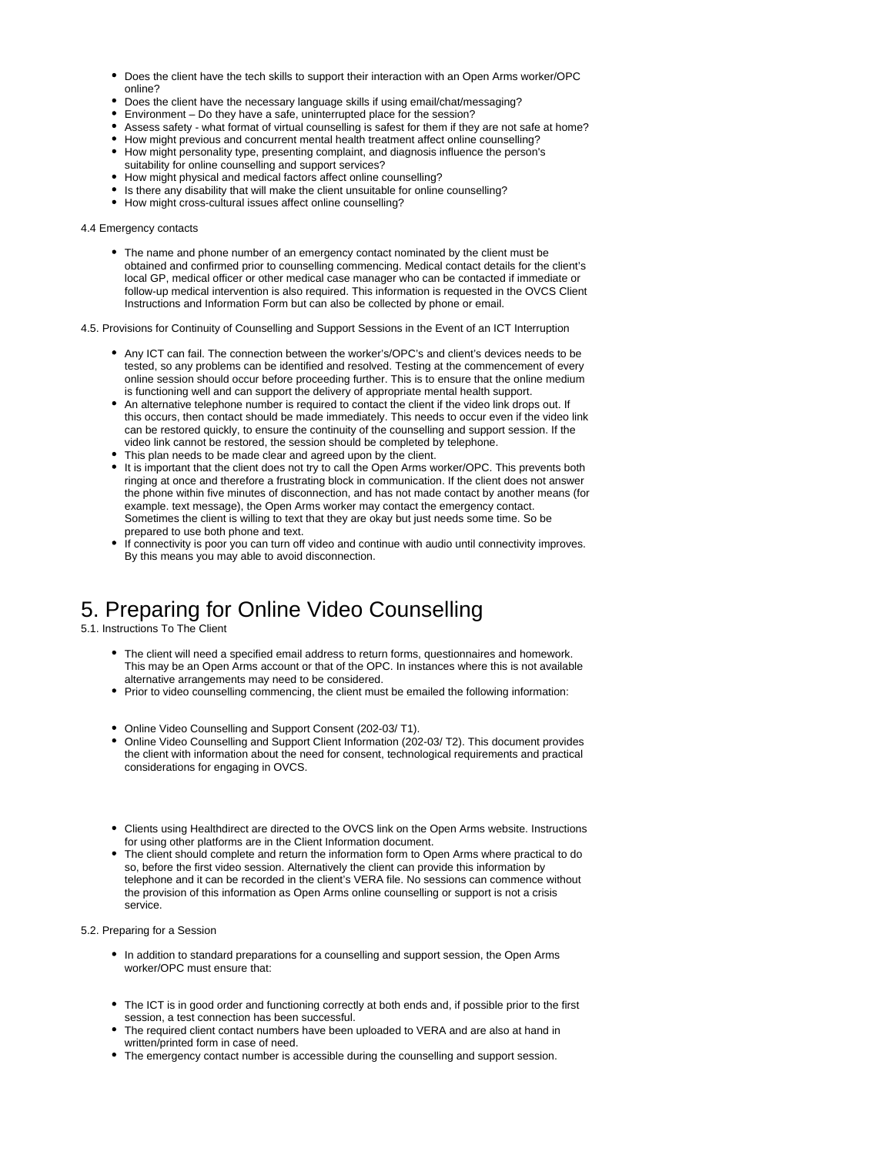- Does the client have the tech skills to support their interaction with an Open Arms worker/OPC online?
- Does the client have the necessary language skills if using email/chat/messaging?
- Environment Do they have a safe, uninterrupted place for the session?
- Assess safety what format of virtual counselling is safest for them if they are not safe at home?
- How might previous and concurrent mental health treatment affect online counselling? How might personality type, presenting complaint, and diagnosis influence the person's
- suitability for online counselling and support services?
- How might physical and medical factors affect online counselling?
- **Is there any disability that will make the client unsuitable for online counselling?**
- How might cross-cultural issues affect online counselling?

### 4.4 Emergency contacts

The name and phone number of an emergency contact nominated by the client must be obtained and confirmed prior to counselling commencing. Medical contact details for the client's local GP, medical officer or other medical case manager who can be contacted if immediate or follow-up medical intervention is also required. This information is requested in the OVCS Client Instructions and Information Form but can also be collected by phone or email.

4.5. Provisions for Continuity of Counselling and Support Sessions in the Event of an ICT Interruption

- Any ICT can fail. The connection between the worker's/OPC's and client's devices needs to be tested, so any problems can be identified and resolved. Testing at the commencement of every online session should occur before proceeding further. This is to ensure that the online medium is functioning well and can support the delivery of appropriate mental health support.
- An alternative telephone number is required to contact the client if the video link drops out. If this occurs, then contact should be made immediately. This needs to occur even if the video link can be restored quickly, to ensure the continuity of the counselling and support session. If the video link cannot be restored, the session should be completed by telephone.
- This plan needs to be made clear and agreed upon by the client.
- It is important that the client does not try to call the Open Arms worker/OPC. This prevents both ringing at once and therefore a frustrating block in communication. If the client does not answer the phone within five minutes of disconnection, and has not made contact by another means (for example. text message), the Open Arms worker may contact the emergency contact. Sometimes the client is willing to text that they are okay but just needs some time. So be prepared to use both phone and text.
- If connectivity is poor you can turn off video and continue with audio until connectivity improves. By this means you may able to avoid disconnection.

# <span id="page-1-0"></span>5. Preparing for Online Video Counselling

5.1. Instructions To The Client

- The client will need a specified email address to return forms, questionnaires and homework. This may be an Open Arms account or that of the OPC. In instances where this is not available alternative arrangements may need to be considered.
- Prior to video counselling commencing, the client must be emailed the following information:
- Online Video Counselling and Support Consent (202-03/ T1).
- Online Video Counselling and Support Client Information (202-03/ T2). This document provides the client with information about the need for consent, technological requirements and practical considerations for engaging in OVCS.
- Clients using Healthdirect are directed to the OVCS link on the Open Arms website. Instructions for using other platforms are in the Client Information document.
- The client should complete and return the information form to Open Arms where practical to do so, before the first video session. Alternatively the client can provide this information by telephone and it can be recorded in the client's VERA file. No sessions can commence without the provision of this information as Open Arms online counselling or support is not a crisis service.

#### 5.2. Preparing for a Session

- In addition to standard preparations for a counselling and support session, the Open Arms worker/OPC must ensure that:
- The ICT is in good order and functioning correctly at both ends and, if possible prior to the first session, a test connection has been successful.
- The required client contact numbers have been uploaded to VERA and are also at hand in written/printed form in case of need.
- The emergency contact number is accessible during the counselling and support session.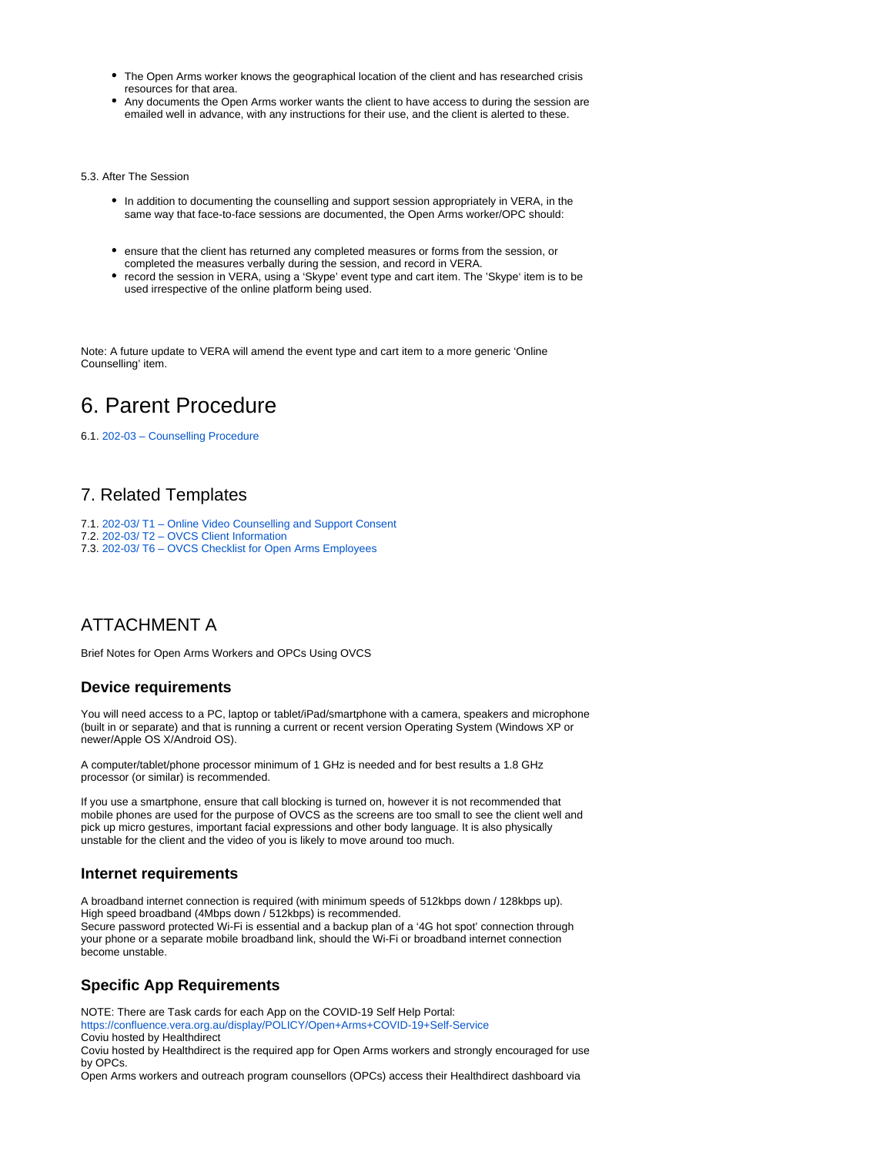- The Open Arms worker knows the geographical location of the client and has researched crisis resources for that area.
- Any documents the Open Arms worker wants the client to have access to during the session are emailed well in advance, with any instructions for their use, and the client is alerted to these.

5.3. After The Session

- In addition to documenting the counselling and support session appropriately in VERA, in the same way that face-to-face sessions are documented, the Open Arms worker/OPC should:
- ensure that the client has returned any completed measures or forms from the session, or completed the measures verbally during the session, and record in VERA.
- record the session in VERA, using a 'Skype' event type and cart item. The 'Skype' item is to be used irrespective of the online platform being used.

Note: A future update to VERA will amend the event type and cart item to a more generic 'Online Counselling' item.

# <span id="page-2-0"></span>6. Parent Procedure

6.1. [202-03 – Counselling Procedure](https://confluence.vera.org.au/display/CPPL/202+-+03+Counselling+Procedure)

## <span id="page-2-1"></span>7. Related Templates

- 7.1. [202-03/ T1 Online Video Counselling and Support Consent](https://confluence.vera.org.au/pages/viewpage.action?pageId=79462588)
- 7.2. [202-03/ T2 OVCS Client Information](https://confluence.vera.org.au/pages/viewpage.action?pageId=79462590)
- 7.3. [202-03/ T6 OVCS Checklist for Open Arms Employees](https://confluence.vera.org.au/pages/viewpage.action?pageId=79462600)

## <span id="page-2-2"></span>ATTACHMENT A

Brief Notes for Open Arms Workers and OPCs Using OVCS

### <span id="page-2-3"></span>**Device requirements**

You will need access to a PC, laptop or tablet/iPad/smartphone with a camera, speakers and microphone (built in or separate) and that is running a current or recent version Operating System (Windows XP or newer/Apple OS X/Android OS).

A computer/tablet/phone processor minimum of 1 GHz is needed and for best results a 1.8 GHz processor (or similar) is recommended.

If you use a smartphone, ensure that call blocking is turned on, however it is not recommended that mobile phones are used for the purpose of OVCS as the screens are too small to see the client well and pick up micro gestures, important facial expressions and other body language. It is also physically unstable for the client and the video of you is likely to move around too much.

### <span id="page-2-4"></span>**Internet requirements**

A broadband internet connection is required (with minimum speeds of 512kbps down / 128kbps up). High speed broadband (4Mbps down / 512kbps) is recommended. Secure password protected Wi-Fi is essential and a backup plan of a '4G hot spot' connection through your phone or a separate mobile broadband link, should the Wi-Fi or broadband internet connection become unstable.

## <span id="page-2-5"></span>**Specific App Requirements**

NOTE: There are Task cards for each App on the COVID-19 Self Help Portal: <https://confluence.vera.org.au/display/POLICY/Open+Arms+COVID-19+Self-Service>

Coviu hosted by Healthdirect

Coviu hosted by Healthdirect is the required app for Open Arms workers and strongly encouraged for use by OPCs.

Open Arms workers and outreach program counsellors (OPCs) access their Healthdirect dashboard via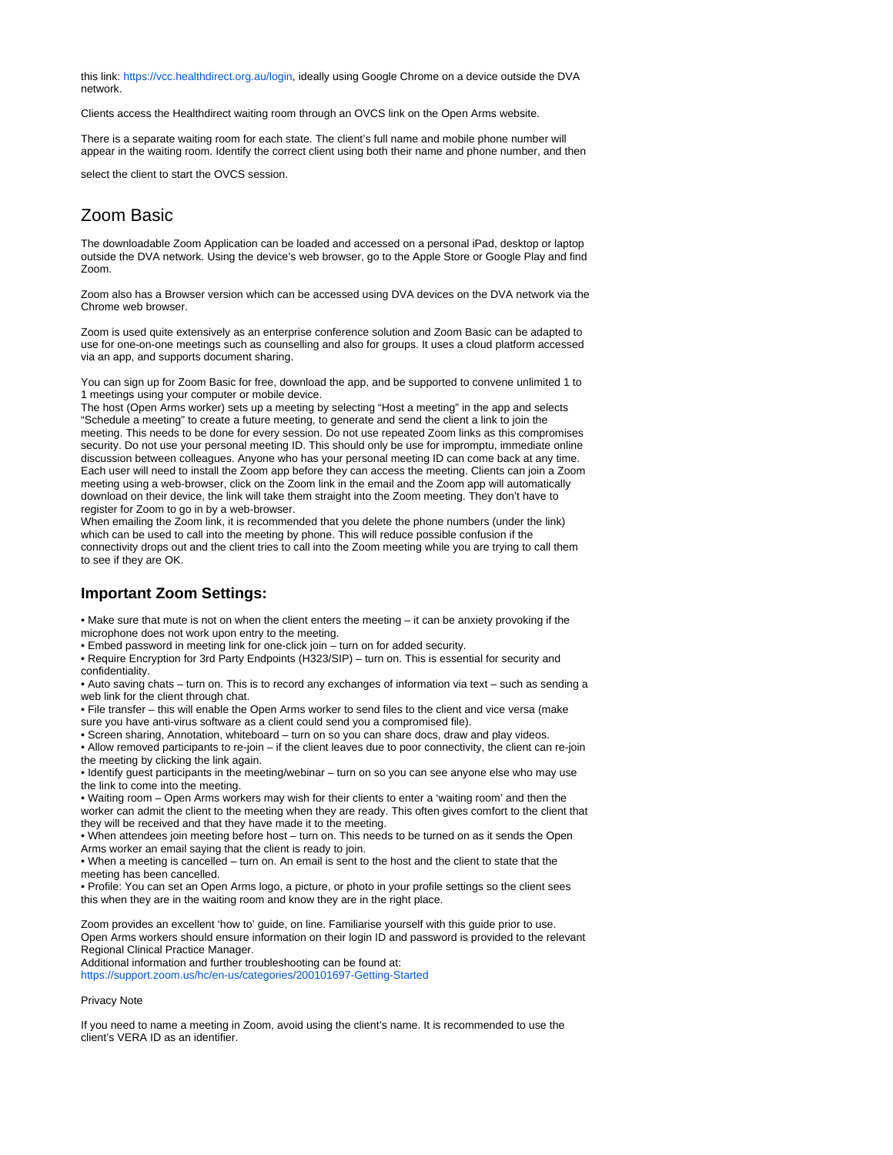this link: [https://vcc.healthdirect.org.au/login,](https://vcc.healthdirect.org.au/login) ideally using Google Chrome on a device outside the DVA network.

Clients access the Healthdirect waiting room through an OVCS link on the Open Arms website.

There is a separate waiting room for each state. The client's full name and mobile phone number will appear in the waiting room. Identify the correct client using both their name and phone number, and then

select the client to start the OVCS session.

## <span id="page-3-0"></span>Zoom Basic

The downloadable Zoom Application can be loaded and accessed on a personal iPad, desktop or laptop outside the DVA network. Using the device's web browser, go to the Apple Store or Google Play and find Zoom.

Zoom also has a Browser version which can be accessed using DVA devices on the DVA network via the Chrome web browser.

Zoom is used quite extensively as an enterprise conference solution and Zoom Basic can be adapted to use for one-on-one meetings such as counselling and also for groups. It uses a cloud platform accessed via an app, and supports document sharing.

You can sign up for Zoom Basic for free, download the app, and be supported to convene unlimited 1 to 1 meetings using your computer or mobile device.

The host (Open Arms worker) sets up a meeting by selecting "Host a meeting" in the app and selects "Schedule a meeting" to create a future meeting, to generate and send the client a link to join the meeting. This needs to be done for every session. Do not use repeated Zoom links as this compromises security. Do not use your personal meeting ID. This should only be use for impromptu, immediate online discussion between colleagues. Anyone who has your personal meeting ID can come back at any time. Each user will need to install the Zoom app before they can access the meeting. Clients can join a Zoom meeting using a web-browser, click on the Zoom link in the email and the Zoom app will automatically download on their device, the link will take them straight into the Zoom meeting. They don't have to register for Zoom to go in by a web-browser.

When emailing the Zoom link, it is recommended that you delete the phone numbers (under the link) which can be used to call into the meeting by phone. This will reduce possible confusion if the connectivity drops out and the client tries to call into the Zoom meeting while you are trying to call them to see if they are OK.

### <span id="page-3-1"></span>**Important Zoom Settings:**

• Make sure that mute is not on when the client enters the meeting – it can be anxiety provoking if the microphone does not work upon entry to the meeting.

• Embed password in meeting link for one-click join – turn on for added security.

• Require Encryption for 3rd Party Endpoints (H323/SIP) – turn on. This is essential for security and confidentiality.

• Auto saving chats – turn on. This is to record any exchanges of information via text – such as sending a web link for the client through chat.

• File transfer – this will enable the Open Arms worker to send files to the client and vice versa (make sure you have anti-virus software as a client could send you a compromised file).

• Screen sharing, Annotation, whiteboard – turn on so you can share docs, draw and play videos.

• Allow removed participants to re-join – if the client leaves due to poor connectivity, the client can re-join the meeting by clicking the link again.

• Identify guest participants in the meeting/webinar – turn on so you can see anyone else who may use the link to come into the meeting.

• Waiting room – Open Arms workers may wish for their clients to enter a 'waiting room' and then the worker can admit the client to the meeting when they are ready. This often gives comfort to the client that they will be received and that they have made it to the meeting.

• When attendees join meeting before host – turn on. This needs to be turned on as it sends the Open Arms worker an email saying that the client is ready to join.

• When a meeting is cancelled – turn on. An email is sent to the host and the client to state that the meeting has been cancelled.

• Profile: You can set an Open Arms logo, a picture, or photo in your profile settings so the client sees this when they are in the waiting room and know they are in the right place.

Zoom provides an excellent 'how to' guide, on line. Familiarise yourself with this guide prior to use. Open Arms workers should ensure information on their login ID and password is provided to the relevant Regional Clinical Practice Manager.

Additional information and further troubleshooting can be found at:

<https://support.zoom.us/hc/en-us/categories/200101697-Getting-Started>

### Privacy Note

<span id="page-3-2"></span>If you need to name a meeting in Zoom, avoid using the client's name. It is recommended to use the client's VERA ID as an identifier.